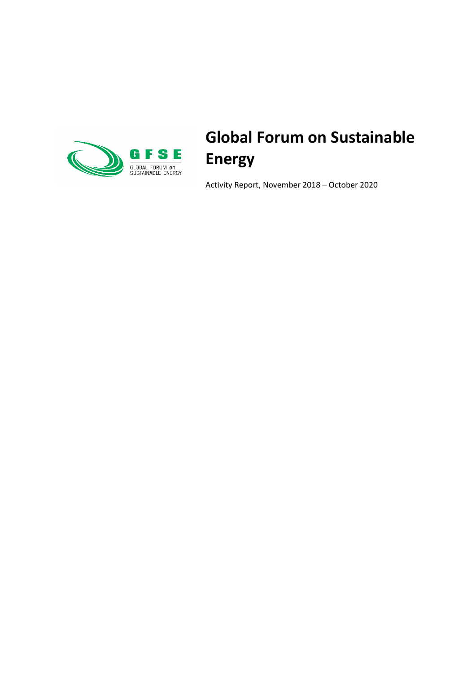

# **Global Forum on Sustainable Energy**

Activity Report, November 2018 – October 2020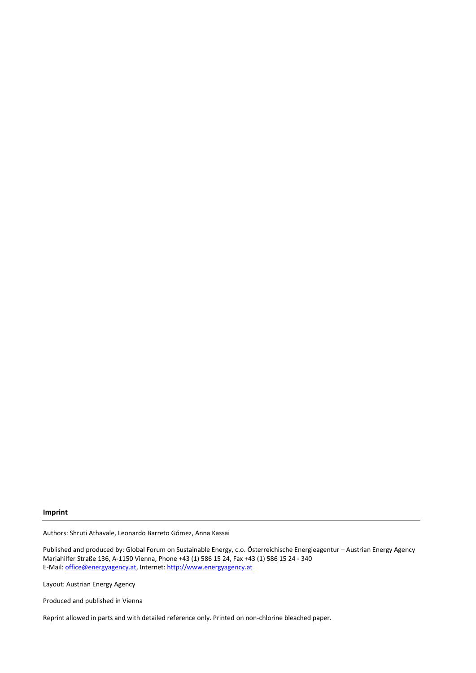#### **Imprint**

Authors: Shruti Athavale, Leonardo Barreto Gómez, Anna Kassai

Published and produced by: Global Forum on Sustainable Energy, c.o. Österreichische Energieagentur – Austrian Energy Agency Mariahilfer Straße 136, A-1150 Vienna, Phone +43 (1) 586 15 24, Fax +43 (1) 586 15 24 - 340 E-Mail[: office@energyagency.at,](mailto:office@energyagency.at) Internet[: http://www.energyagency.at](http://www.energyagency.at/)

Layout: Austrian Energy Agency

Produced and published in Vienna

Reprint allowed in parts and with detailed reference only. Printed on non-chlorine bleached paper.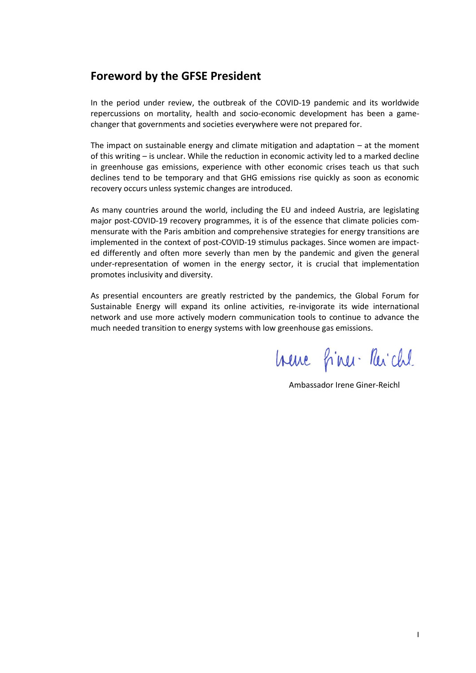### **Foreword by the GFSE President**

In the period under review, the outbreak of the COVID-19 pandemic and its worldwide repercussions on mortality, health and socio-economic development has been a gamechanger that governments and societies everywhere were not prepared for.

The impact on sustainable energy and climate mitigation and adaptation  $-$  at the moment of this writing – is unclear. While the reduction in economic activity led to a marked decline in greenhouse gas emissions, experience with other economic crises teach us that such declines tend to be temporary and that GHG emissions rise quickly as soon as economic recovery occurs unless systemic changes are introduced.

As many countries around the world, including the EU and indeed Austria, are legislating major post-COVID-19 recovery programmes, it is of the essence that climate policies commensurate with the Paris ambition and comprehensive strategies for energy transitions are implemented in the context of post-COVID-19 stimulus packages. Since women are impacted differently and often more severly than men by the pandemic and given the general under-representation of women in the energy sector, it is crucial that implementation promotes inclusivity and diversity.

As presential encounters are greatly restricted by the pandemics, the Global Forum for Sustainable Energy will expand its online activities, re-invigorate its wide international network and use more actively modern communication tools to continue to advance the much needed transition to energy systems with low greenhouse gas emissions.

hene fines Reichl

Ambassador Irene Giner-Reichl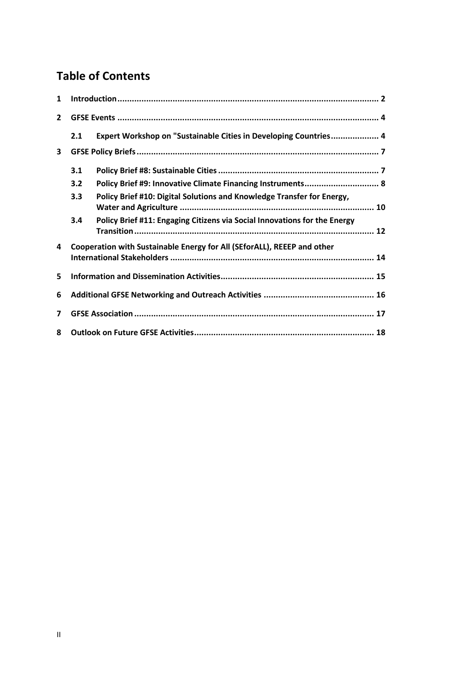# **Table of Contents**

| 1              |     |                                                                           |
|----------------|-----|---------------------------------------------------------------------------|
| $\overline{2}$ |     |                                                                           |
|                | 2.1 | Expert Workshop on "Sustainable Cities in Developing Countries 4          |
| $\mathbf{3}$   |     |                                                                           |
|                | 3.1 |                                                                           |
|                | 3.2 | Policy Brief #9: Innovative Climate Financing Instruments 8               |
|                | 3.3 | Policy Brief #10: Digital Solutions and Knowledge Transfer for Energy,    |
|                | 3.4 | Policy Brief #11: Engaging Citizens via Social Innovations for the Energy |
| 4              |     | Cooperation with Sustainable Energy for All (SEforALL), REEEP and other   |
|                |     |                                                                           |
| 5              |     |                                                                           |
| 6              |     |                                                                           |
| 7              |     |                                                                           |
| 8              |     |                                                                           |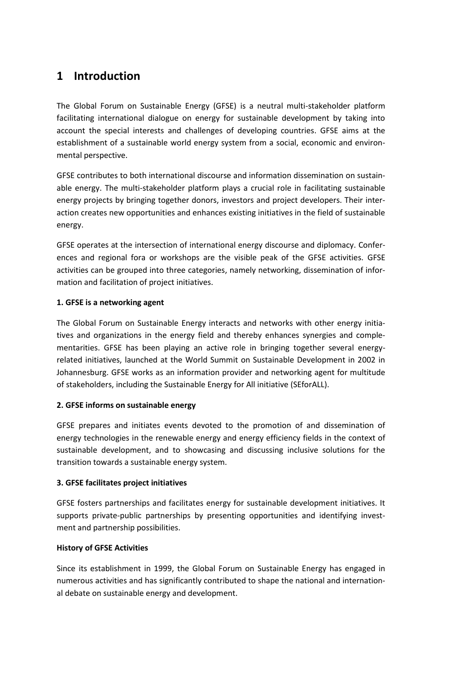## **1 Introduction**

The Global Forum on Sustainable Energy (GFSE) is a neutral multi-stakeholder platform facilitating international dialogue on energy for sustainable development by taking into account the special interests and challenges of developing countries. GFSE aims at the establishment of a sustainable world energy system from a social, economic and environmental perspective.

GFSE contributes to both international discourse and information dissemination on sustainable energy. The multi-stakeholder platform plays a crucial role in facilitating sustainable energy projects by bringing together donors, investors and project developers. Their interaction creates new opportunities and enhances existing initiatives in the field of sustainable energy.

GFSE operates at the intersection of international energy discourse and diplomacy. Conferences and regional fora or workshops are the visible peak of the GFSE activities. GFSE activities can be grouped into three categories, namely networking, dissemination of information and facilitation of project initiatives.

#### **1. GFSE is a networking agent**

The Global Forum on Sustainable Energy interacts and networks with other energy initiatives and organizations in the energy field and thereby enhances synergies and complementarities. GFSE has been playing an active role in bringing together several energyrelated initiatives, launched at the World Summit on Sustainable Development in 2002 in Johannesburg. GFSE works as an information provider and networking agent for multitude of stakeholders, including the Sustainable Energy for All initiative (SEforALL).

#### **2. GFSE informs on sustainable energy**

GFSE prepares and initiates events devoted to the promotion of and dissemination of energy technologies in the renewable energy and energy efficiency fields in the context of sustainable development, and to showcasing and discussing inclusive solutions for the transition towards a sustainable energy system.

#### **3. GFSE facilitates project initiatives**

GFSE fosters partnerships and facilitates energy for sustainable development initiatives. It supports private-public partnerships by presenting opportunities and identifying investment and partnership possibilities.

#### **History of GFSE Activities**

Since its establishment in 1999, the Global Forum on Sustainable Energy has engaged in numerous activities and has significantly contributed to shape the national and international debate on sustainable energy and development.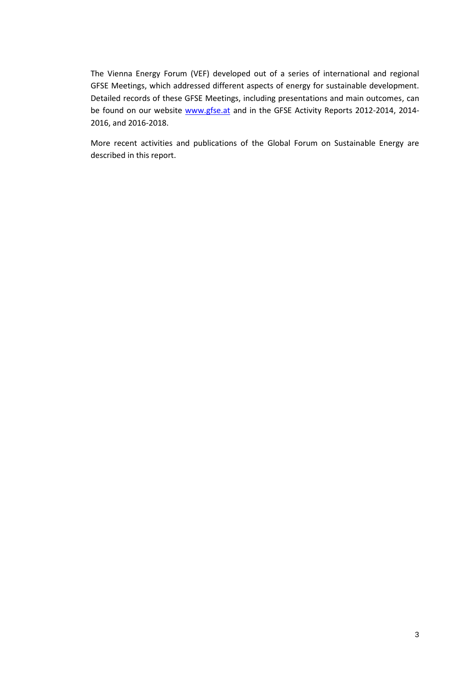The Vienna Energy Forum (VEF) developed out of a series of international and regional GFSE Meetings, which addressed different aspects of energy for sustainable development. Detailed records of these GFSE Meetings, including presentations and main outcomes, can be found on our website [www.gfse.at](http://www.gfse.at/) and in the GFSE Activity Reports 2012-2014, 2014-2016, and 2016-2018.

More recent activities and publications of the Global Forum on Sustainable Energy are described in this report.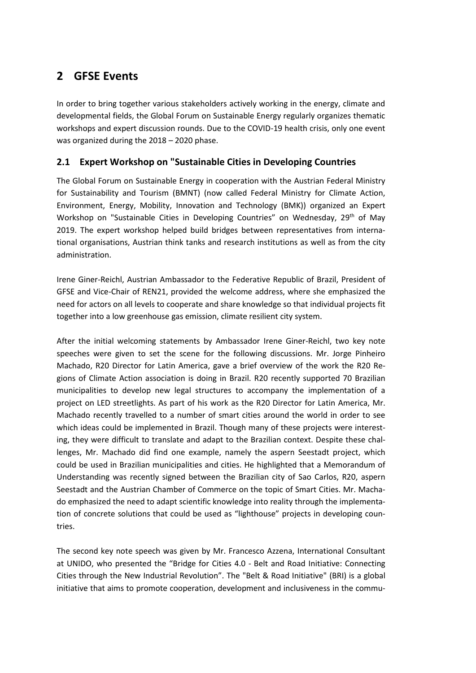## **2 GFSE Events**

In order to bring together various stakeholders actively working in the energy, climate and developmental fields, the Global Forum on Sustainable Energy regularly organizes thematic workshops and expert discussion rounds. Due to the COVID-19 health crisis, only one event was organized during the 2018 – 2020 phase.

### <span id="page-7-0"></span>**2.1 Expert Workshop on "Sustainable Cities in Developing Countries**

The Global Forum on Sustainable Energy in cooperation with the Austrian Federal Ministry for Sustainability and Tourism (BMNT) (now called Federal Ministry for Climate Action, Environment, Energy, Mobility, Innovation and Technology (BMK)) organized an Expert Workshop on "Sustainable Cities in Developing Countries" on Wednesday, 29<sup>th</sup> of May 2019. The expert workshop helped build bridges between representatives from international organisations, Austrian think tanks and research institutions as well as from the city administration.

Irene Giner-Reichl, Austrian Ambassador to the Federative Republic of Brazil, President of GFSE and Vice-Chair of REN21, provided the welcome address, where she emphasized the need for actors on all levels to cooperate and share knowledge so that individual projects fit together into a low greenhouse gas emission, climate resilient city system.

After the initial welcoming statements by Ambassador Irene Giner-Reichl, two key note speeches were given to set the scene for the following discussions. Mr. Jorge Pinheiro Machado, R20 Director for Latin America, gave a brief overview of the work the R20 Regions of Climate Action association is doing in Brazil. R20 recently supported 70 Brazilian municipalities to develop new legal structures to accompany the implementation of a project on LED streetlights. As part of his work as the R20 Director for Latin America, Mr. Machado recently travelled to a number of smart cities around the world in order to see which ideas could be implemented in Brazil. Though many of these projects were interesting, they were difficult to translate and adapt to the Brazilian context. Despite these challenges, Mr. Machado did find one example, namely the aspern Seestadt project, which could be used in Brazilian municipalities and cities. He highlighted that a Memorandum of Understanding was recently signed between the Brazilian city of Sao Carlos, R20, aspern Seestadt and the Austrian Chamber of Commerce on the topic of Smart Cities. Mr. Machado emphasized the need to adapt scientific knowledge into reality through the implementation of concrete solutions that could be used as "lighthouse" projects in developing countries.

The second key note speech was given by Mr. Francesco Azzena, International Consultant at UNIDO, who presented the "Bridge for Cities 4.0 - Belt and Road Initiative: Connecting Cities through the New Industrial Revolution". The "Belt & Road Initiative" (BRI) is a global initiative that aims to promote cooperation, development and inclusiveness in the commu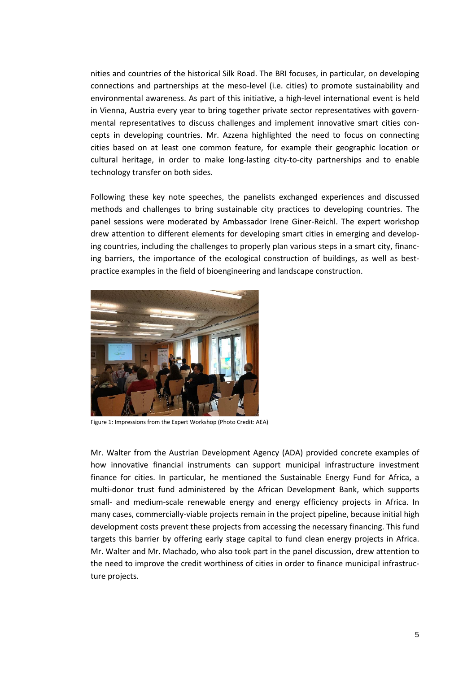nities and countries of the historical Silk Road. The BRI focuses, in particular, on developing connections and partnerships at the meso-level (i.e. cities) to promote sustainability and environmental awareness. As part of this initiative, a high-level international event is held in Vienna, Austria every year to bring together private sector representatives with governmental representatives to discuss challenges and implement innovative smart cities concepts in developing countries. Mr. Azzena highlighted the need to focus on connecting cities based on at least one common feature, for example their geographic location or cultural heritage, in order to make long-lasting city-to-city partnerships and to enable technology transfer on both sides.

Following these key note speeches, the panelists exchanged experiences and discussed methods and challenges to bring sustainable city practices to developing countries. The panel sessions were moderated by Ambassador Irene Giner-Reichl. The expert workshop drew attention to different elements for developing smart cities in emerging and developing countries, including the challenges to properly plan various steps in a smart city, financing barriers, the importance of the ecological construction of buildings, as well as bestpractice examples in the field of bioengineering and landscape construction.



Figure 1: Impressions from the Expert Workshop (Photo Credit: AEA)

Mr. Walter from the Austrian Development Agency (ADA) provided concrete examples of how innovative financial instruments can support municipal infrastructure investment finance for cities. In particular, he mentioned the Sustainable Energy Fund for Africa, a multi-donor trust fund administered by the African Development Bank, which supports small- and medium-scale renewable energy and energy efficiency projects in Africa. In many cases, commercially-viable projects remain in the project pipeline, because initial high development costs prevent these projects from accessing the necessary financing. This fund targets this barrier by offering early stage capital to fund clean energy projects in Africa. Mr. Walter and Mr. Machado, who also took part in the panel discussion, drew attention to the need to improve the credit worthiness of cities in order to finance municipal infrastructure projects.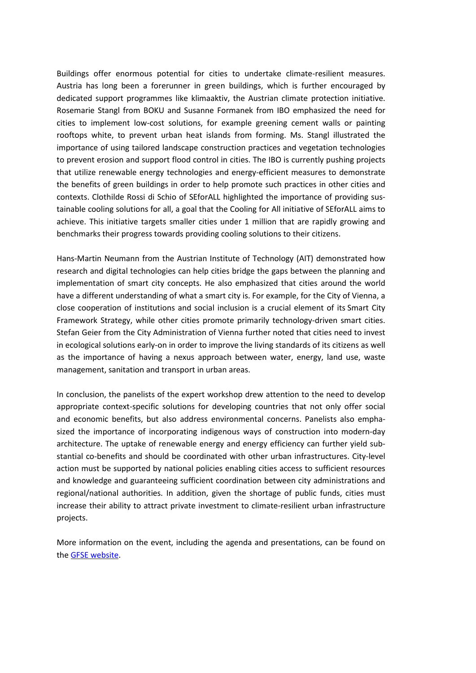Buildings offer enormous potential for cities to undertake climate-resilient measures. Austria has long been a forerunner in green buildings, which is further encouraged by dedicated support programmes like klimaaktiv, the Austrian climate protection initiative. Rosemarie Stangl from BOKU and Susanne Formanek from IBO emphasized the need for cities to implement low-cost solutions, for example greening cement walls or painting rooftops white, to prevent urban heat islands from forming. Ms. Stangl illustrated the importance of using tailored landscape construction practices and vegetation technologies to prevent erosion and support flood control in cities. The IBO is currently pushing projects that utilize renewable energy technologies and energy-efficient measures to demonstrate the benefits of green buildings in order to help promote such practices in other cities and contexts. Clothilde Rossi di Schio of SEforALL highlighted the importance of providing sustainable cooling solutions for all, a goal that the Cooling for All initiative of SEforALL aims to achieve. This initiative targets smaller cities under 1 million that are rapidly growing and benchmarks their progress towards providing cooling solutions to their citizens.

Hans-Martin Neumann from the Austrian Institute of Technology (AIT) demonstrated how research and digital technologies can help cities bridge the gaps between the planning and implementation of smart city concepts. He also emphasized that cities around the world have a different understanding of what a smart city is. For example, for the City of Vienna, a close cooperation of institutions and social inclusion is a crucial element of its Smart City Framework Strategy, while other cities promote primarily technology-driven smart cities. Stefan Geier from the City Administration of Vienna further noted that cities need to invest in ecological solutions early-on in order to improve the living standards of its citizens as well as the importance of having a nexus approach between water, energy, land use, waste management, sanitation and transport in urban areas.

In conclusion, the panelists of the expert workshop drew attention to the need to develop appropriate context-specific solutions for developing countries that not only offer social and economic benefits, but also address environmental concerns. Panelists also emphasized the importance of incorporating indigenous ways of construction into modern-day architecture. The uptake of renewable energy and energy efficiency can further yield substantial co-benefits and should be coordinated with other urban infrastructures. City-level action must be supported by national policies enabling cities access to sufficient resources and knowledge and guaranteeing sufficient coordination between city administrations and regional/national authorities. In addition, given the shortage of public funds, cities must increase their ability to attract private investment to climate-resilient urban infrastructure projects.

More information on the event, including the agenda and presentations, can be found on the [GFSE website.](https://www.gfse.at/index.php?id=40&tx_ttnews%5Btt_news%5D=242&cHash=71e588004cbb429d663edd9686a78c73)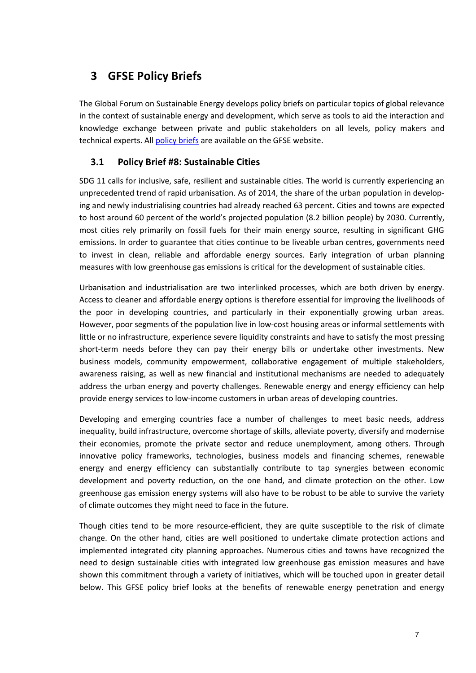# **3 GFSE Policy Briefs**

The Global Forum on Sustainable Energy develops policy briefs on particular topics of global relevance in the context of sustainable energy and development, which serve as tools to aid the interaction and knowledge exchange between private and public stakeholders on all levels, policy makers and technical experts. Al[l policy briefs](https://www.gfse.at/index.php?id=141) are available on th[e GFSE website.](https://www.gfse.at/index.php?id=141)

### **3.1 Policy Brief #8: Sustainable Cities**

SDG 11 calls for inclusive, safe, resilient and sustainable cities. The world is currently experiencing an unprecedented trend of rapid urbanisation. As of 2014, the share of the urban population in developing and newly industrialising countries had already reached 63 percent. Cities and towns are expected to host around 60 percent of the world's projected population (8.2 billion people) by 2030. Currently, most cities rely primarily on fossil fuels for their main energy source, resulting in significant GHG emissions. In order to guarantee that cities continue to be liveable urban centres, governments need to invest in clean, reliable and affordable energy sources. Early integration of urban planning measures with low greenhouse gas emissions is critical for the development of sustainable cities.

Urbanisation and industrialisation are two interlinked processes, which are both driven by energy. Access to cleaner and affordable energy options is therefore essential for improving the livelihoods of the poor in developing countries, and particularly in their exponentially growing urban areas. However, poor segments of the population live in low-cost housing areas or informal settlements with little or no infrastructure, experience severe liquidity constraints and have to satisfy the most pressing short-term needs before they can pay their energy bills or undertake other investments. New business models, community empowerment, collaborative engagement of multiple stakeholders, awareness raising, as well as new financial and institutional mechanisms are needed to adequately address the urban energy and poverty challenges. Renewable energy and energy efficiency can help provide energy services to low-income customers in urban areas of developing countries.

Developing and emerging countries face a number of challenges to meet basic needs, address inequality, build infrastructure, overcome shortage of skills, alleviate poverty, diversify and modernise their economies, promote the private sector and reduce unemployment, among others. Through innovative policy frameworks, technologies, business models and financing schemes, renewable energy and energy efficiency can substantially contribute to tap synergies between economic development and poverty reduction, on the one hand, and climate protection on the other. Low greenhouse gas emission energy systems will also have to be robust to be able to survive the variety of climate outcomes they might need to face in the future.

Though cities tend to be more resource-efficient, they are quite susceptible to the risk of climate change. On the other hand, cities are well positioned to undertake climate protection actions and implemented integrated city planning approaches. Numerous cities and towns have recognized the need to design sustainable cities with integrated low greenhouse gas emission measures and have shown this commitment through a variety of initiatives, which will be touched upon in greater detail below. This GFSE policy brief looks at the benefits of renewable energy penetration and energy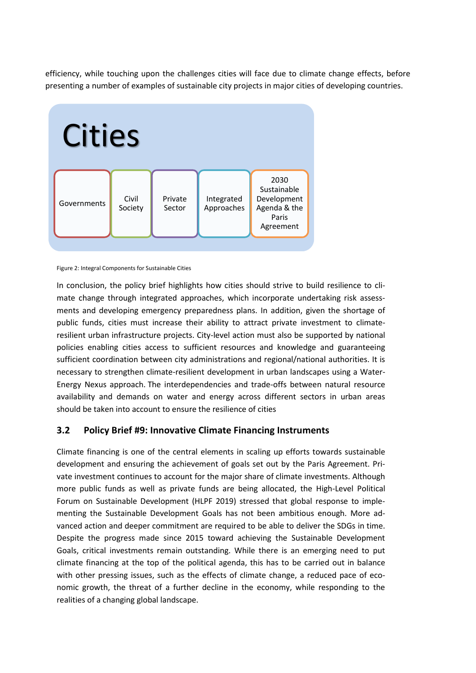efficiency, while touching upon the challenges cities will face due to climate change effects, before presenting a number of examples of sustainable city projects in major cities of developing countries.



#### Figure 2: Integral Components for Sustainable Cities

In conclusion, the policy brief highlights how cities should strive to build resilience to climate change through integrated approaches, which incorporate undertaking risk assessments and developing emergency preparedness plans. In addition, given the shortage of public funds, cities must increase their ability to attract private investment to climateresilient urban infrastructure projects. City-level action must also be supported by national policies enabling cities access to sufficient resources and knowledge and guaranteeing sufficient coordination between city administrations and regional/national authorities. It is necessary to strengthen climate-resilient development in urban landscapes using a Water-Energy Nexus approach. The interdependencies and trade-offs between natural resource availability and demands on water and energy across different sectors in urban areas should be taken into account to ensure the resilience of cities

#### **3.2 Policy Brief #9: Innovative Climate Financing Instruments**

Climate financing is one of the central elements in scaling up efforts towards sustainable development and ensuring the achievement of goals set out by the Paris Agreement. Private investment continues to account for the major share of climate investments. Although more public funds as well as private funds are being allocated, the High-Level Political Forum on Sustainable Development (HLPF 2019) stressed that global response to implementing the Sustainable Development Goals has not been ambitious enough. More advanced action and deeper commitment are required to be able to deliver the SDGs in time. Despite the progress made since 2015 toward achieving the Sustainable Development Goals, critical investments remain outstanding. While there is an emerging need to put climate financing at the top of the political agenda, this has to be carried out in balance with other pressing issues, such as the effects of climate change, a reduced pace of economic growth, the threat of a further decline in the economy, while responding to the realities of a changing global landscape.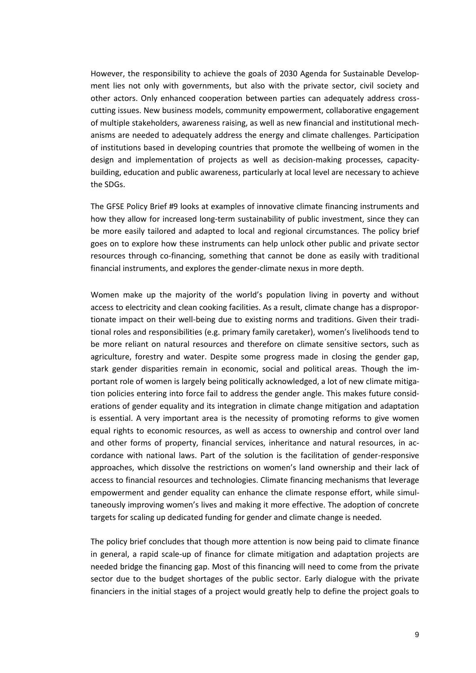However, the responsibility to achieve the goals of 2030 Agenda for Sustainable Development lies not only with governments, but also with the private sector, civil society and other actors. Only enhanced cooperation between parties can adequately address crosscutting issues. New business models, community empowerment, collaborative engagement of multiple stakeholders, awareness raising, as well as new financial and institutional mechanisms are needed to adequately address the energy and climate challenges. Participation of institutions based in developing countries that promote the wellbeing of women in the design and implementation of projects as well as decision-making processes, capacitybuilding, education and public awareness, particularly at local level are necessary to achieve the SDGs.

The GFSE Policy Brief #9 looks at examples of innovative climate financing instruments and how they allow for increased long-term sustainability of public investment, since they can be more easily tailored and adapted to local and regional circumstances. The policy brief goes on to explore how these instruments can help unlock other public and private sector resources through co-financing, something that cannot be done as easily with traditional financial instruments, and explores the gender-climate nexus in more depth.

Women make up the majority of the world's population living in poverty and without access to electricity and clean cooking facilities. As a result, climate change has a disproportionate impact on their well-being due to existing norms and traditions. Given their traditional roles and responsibilities (e.g. primary family caretaker), women's livelihoods tend to be more reliant on natural resources and therefore on climate sensitive sectors, such as agriculture, forestry and water. Despite some progress made in closing the gender gap, stark gender disparities remain in economic, social and political areas. Though the important role of women is largely being politically acknowledged, a lot of new climate mitigation policies entering into force fail to address the gender angle. This makes future considerations of gender equality and its integration in climate change mitigation and adaptation is essential. A very important area is the necessity of promoting reforms to give women equal rights to economic resources, as well as access to ownership and control over land and other forms of property, financial services, inheritance and natural resources, in accordance with national laws. Part of the solution is the facilitation of gender-responsive approaches, which dissolve the restrictions on women's land ownership and their lack of access to financial resources and technologies. Climate financing mechanisms that leverage empowerment and gender equality can enhance the climate response effort, while simultaneously improving women's lives and making it more effective. The adoption of concrete targets for scaling up dedicated funding for gender and climate change is needed.

The policy brief concludes that though more attention is now being paid to climate finance in general, a rapid scale-up of finance for climate mitigation and adaptation projects are needed bridge the financing gap. Most of this financing will need to come from the private sector due to the budget shortages of the public sector. Early dialogue with the private financiers in the initial stages of a project would greatly help to define the project goals to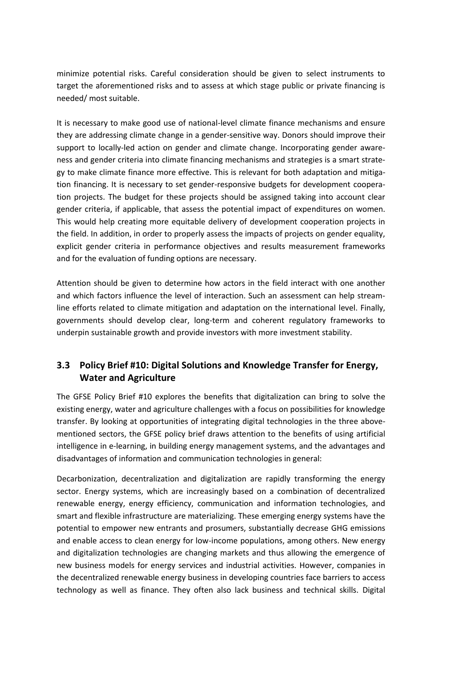minimize potential risks. Careful consideration should be given to select instruments to target the aforementioned risks and to assess at which stage public or private financing is needed/ most suitable.

It is necessary to make good use of national-level climate finance mechanisms and ensure they are addressing climate change in a gender-sensitive way. Donors should improve their support to locally-led action on gender and climate change. Incorporating gender awareness and gender criteria into climate financing mechanisms and strategies is a smart strategy to make climate finance more effective. This is relevant for both adaptation and mitigation financing. It is necessary to set gender-responsive budgets for development cooperation projects. The budget for these projects should be assigned taking into account clear gender criteria, if applicable, that assess the potential impact of expenditures on women. This would help creating more equitable delivery of development cooperation projects in the field. In addition, in order to properly assess the impacts of projects on gender equality, explicit gender criteria in performance objectives and results measurement frameworks and for the evaluation of funding options are necessary.

Attention should be given to determine how actors in the field interact with one another and which factors influence the level of interaction. Such an assessment can help streamline efforts related to climate mitigation and adaptation on the international level. Finally, governments should develop clear, long-term and coherent regulatory frameworks to underpin sustainable growth and provide investors with more investment stability.

### **3.3 Policy Brief #10: Digital Solutions and Knowledge Transfer for Energy, Water and Agriculture**

The GFSE Policy Brief #10 explores the benefits that digitalization can bring to solve the existing energy, water and agriculture challenges with a focus on possibilities for knowledge transfer. By looking at opportunities of integrating digital technologies in the three abovementioned sectors, the GFSE policy brief draws attention to the benefits of using artificial intelligence in e-learning, in building energy management systems, and the advantages and disadvantages of information and communication technologies in general:

Decarbonization, decentralization and digitalization are rapidly transforming the energy sector. Energy systems, which are increasingly based on a combination of decentralized renewable energy, energy efficiency, communication and information technologies, and smart and flexible infrastructure are materializing. These emerging energy systems have the potential to empower new entrants and prosumers, substantially decrease GHG emissions and enable access to clean energy for low-income populations, among others. New energy and digitalization technologies are changing markets and thus allowing the emergence of new business models for energy services and industrial activities. However, companies in the decentralized renewable energy business in developing countries face barriers to access technology as well as finance. They often also lack business and technical skills. Digital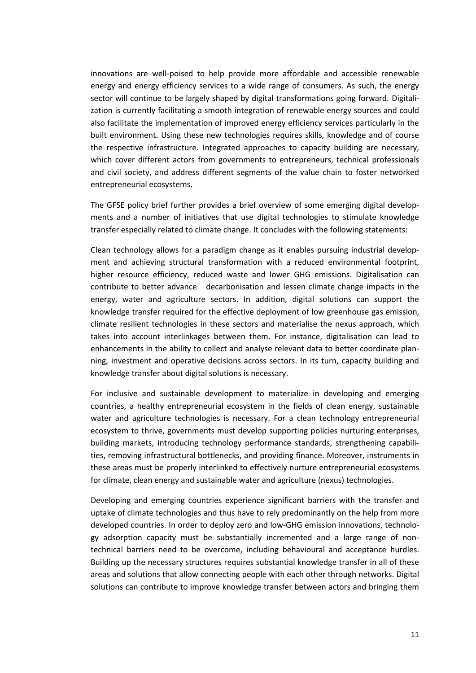innovations are well-poised to help provide more affordable and accessible renewable energy and energy efficiency services to a wide range of consumers. As such, the energy sector will continue to be largely shaped by digital transformations going forward. Digitalization is currently facilitating a smooth integration of renewable energy sources and could also facilitate the implementation of improved energy efficiency services particularly in the built environment. Using these new technologies requires skills, knowledge and of course the respective infrastructure. Integrated approaches to capacity building are necessary, which cover different actors from governments to entrepreneurs, technical professionals and civil society, and address different segments of the value chain to foster networked entrepreneurial ecosystems.

The GFSE policy brief further provides a brief overview of some emerging digital developments and a number of initiatives that use digital technologies to stimulate knowledge transfer especially related to climate change. It concludes with the following statements:

Clean technology allows for a paradigm change as it enables pursuing industrial development and achieving structural transformation with a reduced environmental footprint, higher resource efficiency, reduced waste and lower GHG emissions. Digitalisation can contribute to better advance decarbonisation and lessen climate change impacts in the energy, water and agriculture sectors. In addition, digital solutions can support the knowledge transfer required for the effective deployment of low greenhouse gas emission, climate resilient technologies in these sectors and materialise the nexus approach, which takes into account interlinkages between them. For instance, digitalisation can lead to enhancements in the ability to collect and analyse relevant data to better coordinate planning, investment and operative decisions across sectors. In its turn, capacity building and knowledge transfer about digital solutions is necessary.

For inclusive and sustainable development to materialize in developing and emerging countries, a healthy entrepreneurial ecosystem in the fields of clean energy, sustainable water and agriculture technologies is necessary. For a clean technology entrepreneurial ecosystem to thrive, governments must develop supporting policies nurturing enterprises, building markets, introducing technology performance standards, strengthening capabilities, removing infrastructural bottlenecks, and providing finance. Moreover, instruments in these areas must be properly interlinked to effectively nurture entrepreneurial ecosystems for climate, clean energy and sustainable water and agriculture (nexus) technologies.

Developing and emerging countries experience significant barriers with the transfer and uptake of climate technologies and thus have to rely predominantly on the help from more developed countries. In order to deploy zero and low-GHG emission innovations, technology adsorption capacity must be substantially incremented and a large range of nontechnical barriers need to be overcome, including behavioural and acceptance hurdles. Building up the necessary structures requires substantial knowledge transfer in all of these areas and solutions that allow connecting people with each other through networks. Digital solutions can contribute to improve knowledge transfer between actors and bringing them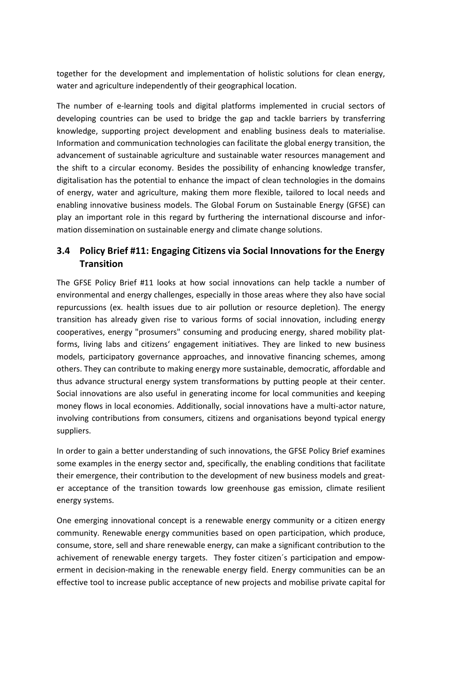together for the development and implementation of holistic solutions for clean energy, water and agriculture independently of their geographical location.

The number of e-learning tools and digital platforms implemented in crucial sectors of developing countries can be used to bridge the gap and tackle barriers by transferring knowledge, supporting project development and enabling business deals to materialise. Information and communication technologies can facilitate the global energy transition, the advancement of sustainable agriculture and sustainable water resources management and the shift to a circular economy. Besides the possibility of enhancing knowledge transfer, digitalisation has the potential to enhance the impact of clean technologies in the domains of energy, water and agriculture, making them more flexible, tailored to local needs and enabling innovative business models. The Global Forum on Sustainable Energy (GFSE) can play an important role in this regard by furthering the international discourse and information dissemination on sustainable energy and climate change solutions.

### **3.4 Policy Brief #11: Engaging Citizens via Social Innovations for the Energy Transition**

The GFSE Policy Brief #11 looks at how social innovations can help tackle a number of environmental and energy challenges, especially in those areas where they also have social repurcussions (ex. health issues due to air pollution or resource depletion). The energy transition has already given rise to various forms of social innovation, including energy cooperatives, energy "prosumers" consuming and producing energy, shared mobility platforms, living labs and citizens' engagement initiatives. They are linked to new business models, participatory governance approaches, and innovative financing schemes, among others. They can contribute to making energy more sustainable, democratic, affordable and thus advance structural energy system transformations by putting people at their center. Social innovations are also useful in generating income for local communities and keeping money flows in local economies. Additionally, social innovations have a multi-actor nature, involving contributions from consumers, citizens and organisations beyond typical energy suppliers.

In order to gain a better understanding of such innovations, the GFSE Policy Brief examines some examples in the energy sector and, specifically, the enabling conditions that facilitate their emergence, their contribution to the development of new business models and greater acceptance of the transition towards low greenhouse gas emission, climate resilient energy systems.

One emerging innovational concept is a renewable energy community or a citizen energy community. Renewable energy communities based on open participation, which produce, consume, store, sell and share renewable energy, can make a significant contribution to the achivement of renewable energy targets. They foster citizen´s participation and empowerment in decision-making in the renewable energy field. Energy communities can be an effective tool to increase public acceptance of new projects and mobilise private capital for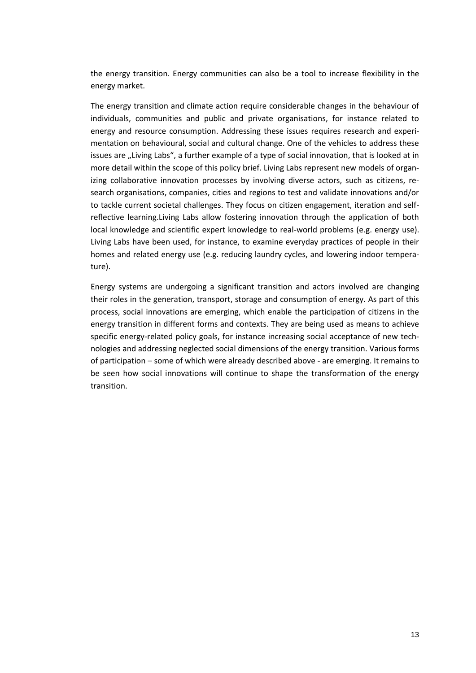the energy transition. Energy communities can also be a tool to increase flexibility in the energy market.

The energy transition and climate action require considerable changes in the behaviour of individuals, communities and public and private organisations, for instance related to energy and resource consumption. Addressing these issues requires research and experimentation on behavioural, social and cultural change. One of the vehicles to address these issues are "Living Labs", a further example of a type of social innovation, that is looked at in more detail within the scope of this policy brief. Living Labs represent new models of organizing collaborative innovation processes by involving diverse actors, such as citizens, research organisations, companies, cities and regions to test and validate innovations and/or to tackle current societal challenges. They focus on citizen engagement, iteration and selfreflective learning.Living Labs allow fostering innovation through the application of both local knowledge and scientific expert knowledge to real-world problems (e.g. energy use). Living Labs have been used, for instance, to examine everyday practices of people in their homes and related energy use (e.g. reducing laundry cycles, and lowering indoor temperature).

Energy systems are undergoing a significant transition and actors involved are changing their roles in the generation, transport, storage and consumption of energy. As part of this process, social innovations are emerging, which enable the participation of citizens in the energy transition in different forms and contexts. They are being used as means to achieve specific energy-related policy goals, for instance increasing social acceptance of new technologies and addressing neglected social dimensions of the energy transition. Various forms of participation – some of which were already described above - are emerging. It remains to be seen how social innovations will continue to shape the transformation of the energy transition.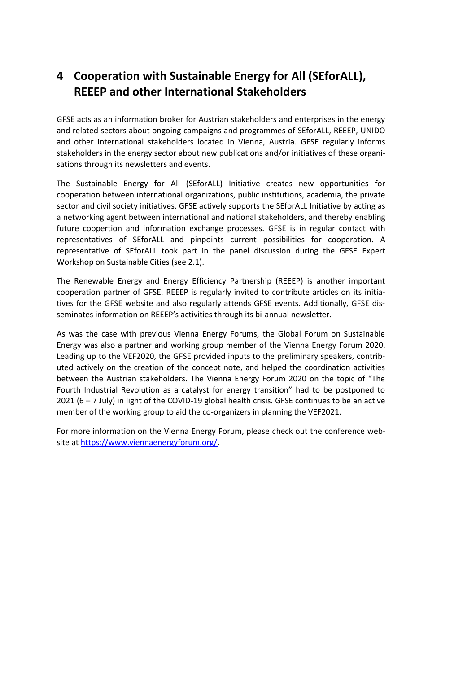# **4 Cooperation with Sustainable Energy for All (SEforALL), REEEP and other International Stakeholders**

GFSE acts as an information broker for Austrian stakeholders and enterprises in the energy and related sectors about ongoing campaigns and programmes of SEforALL, REEEP, UNIDO and other international stakeholders located in Vienna, Austria. GFSE regularly informs stakeholders in the energy sector about new publications and/or initiatives of these organisations through its newsletters and events.

The Sustainable Energy for All (SEforALL) Initiative creates new opportunities for cooperation between international organizations, public institutions, academia, the private sector and civil society initiatives. GFSE actively supports the SEforALL Initiative by acting as a networking agent between international and national stakeholders, and thereby enabling future coopertion and information exchange processes. GFSE is in regular contact with representatives of SEforALL and pinpoints current possibilities for cooperation. A representative of SEforALL took part in the panel discussion during the GFSE Expert Workshop on Sustainable Cities (se[e 2.1\)](#page-7-0).

The Renewable Energy and Energy Efficiency Partnership (REEEP) is another important cooperation partner of GFSE. REEEP is regularly invited to contribute articles on its initiatives for the GFSE website and also regularly attends GFSE events. Additionally, GFSE disseminates information on REEEP's activities through its bi-annual newsletter.

As was the case with previous Vienna Energy Forums, the Global Forum on Sustainable Energy was also a partner and working group member of the Vienna Energy Forum 2020. Leading up to the VEF2020, the GFSE provided inputs to the preliminary speakers, contributed actively on the creation of the concept note, and helped the coordination activities between the Austrian stakeholders. The Vienna Energy Forum 2020 on the topic of "The Fourth Industrial Revolution as a catalyst for energy transition" had to be postponed to 2021 (6 – 7 July) in light of the COVID-19 global health crisis. GFSE continues to be an active member of the working group to aid the co-organizers in planning the VEF2021.

For more information on the Vienna Energy Forum, please check out the conference website at [https://www.viennaenergyforum.org/.](https://www.viennaenergyforum.org/)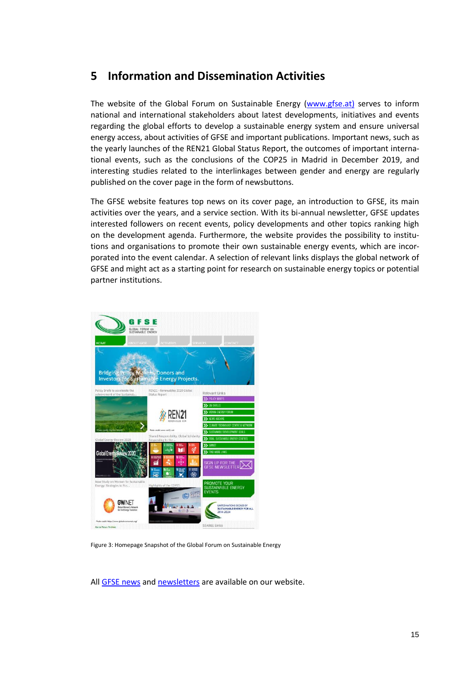### **5 Information and Dissemination Activities**

The website of the Global Forum on Sustainable Energy [\(www.gfse.at\)](http://www.gfse.at/) serves to inform national and international stakeholders about latest developments, initiatives and events regarding the global efforts to develop a sustainable energy system and ensure universal energy access, about activities of GFSE and important publications. Important news, such as the yearly launches of the REN21 Global Status Report, the outcomes of important international events, such as the conclusions of the COP25 in Madrid in December 2019, and interesting studies related to the interlinkages between gender and energy are regularly published on the cover page in the form of newsbuttons.

The GFSE website features top news on its cover page, an introduction to GFSE, its main activities over the years, and a service section. With its bi-annual newsletter, GFSE updates interested followers on recent events, policy developments and other topics ranking high on the development agenda. Furthermore, the website provides the possibility to institutions and organisations to promote their own sustainable energy events, which are incorporated into the event calendar. A selection of relevant links displays the global network of GFSE and might act as a starting point for research on sustainable energy topics or potential partner institutions.



Figure 3: Homepage Snapshot of the Global Forum on Sustainable Energy

All [GFSE news](http://www.gfse.at/index.php?id=4) an[d newsletters](http://www.gfse.at/index.php?id=112) are available on our website.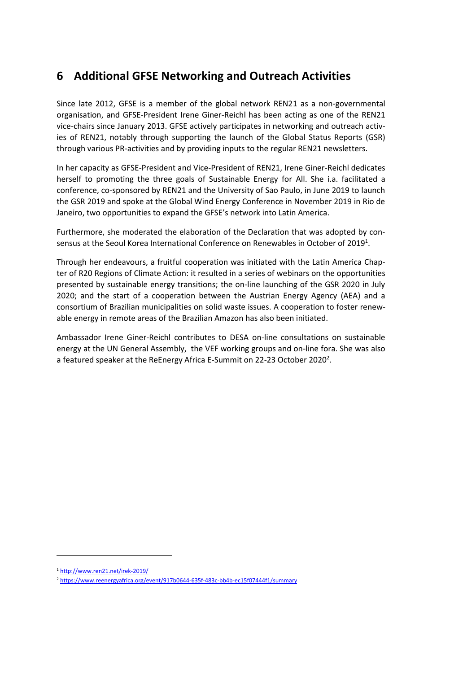# **6 Additional GFSE Networking and Outreach Activities**

Since late 2012, GFSE is a member of the global network REN21 as a non-governmental organisation, and GFSE-President Irene Giner-Reichl has been acting as one of the REN21 vice-chairs since January 2013. GFSE actively participates in networking and outreach activies of REN21, notably through supporting the launch of the Global Status Reports (GSR) through various PR-activities and by providing inputs to the regular REN21 newsletters.

In her capacity as GFSE-President and Vice-President of REN21, Irene Giner-Reichl dedicates herself to promoting the three goals of Sustainable Energy for All. She i.a. facilitated a conference, co-sponsored by REN21 and the University of Sao Paulo, in June 2019 to launch the GSR 2019 and spoke at the Global Wind Energy Conference in November 2019 in Rio de Janeiro, two opportunities to expand the GFSE's network into Latin America.

Furthermore, she moderated the elaboration of the Declaration that was adopted by consensus at the Seoul Korea International Conference on Renewables in October of 2019<sup>1</sup>.

Through her endeavours, a fruitful cooperation was initiated with the Latin America Chapter of R20 Regions of Climate Action: it resulted in a series of webinars on the opportunities presented by sustainable energy transitions; the on-line launching of the GSR 2020 in July 2020; and the start of a cooperation between the Austrian Energy Agency (AEA) and a consortium of Brazilian municipalities on solid waste issues. A cooperation to foster renewable energy in remote areas of the Brazilian Amazon has also been initiated.

Ambassador Irene Giner-Reichl contributes to DESA on-line consultations on sustainable energy at the UN General Assembly, the VEF working groups and on-line fora. She was also a featured speaker at the ReEnergy Africa E-Summit on 22-23 October 2020<sup>2</sup>.

l

<sup>1</sup> <http://www.ren21.net/irek-2019/>

<sup>2</sup> <https://www.reenergyafrica.org/event/917b0644-635f-483c-bb4b-ec15f07444f1/summary>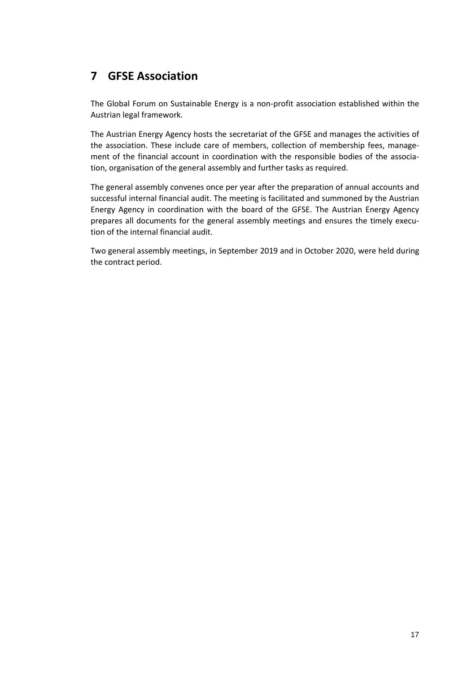# **7 GFSE Association**

The Global Forum on Sustainable Energy is a non-profit association established within the Austrian legal framework.

The Austrian Energy Agency hosts the secretariat of the GFSE and manages the activities of the association. These include care of members, collection of membership fees, management of the financial account in coordination with the responsible bodies of the association, organisation of the general assembly and further tasks as required.

The general assembly convenes once per year after the preparation of annual accounts and successful internal financial audit. The meeting is facilitated and summoned by the Austrian Energy Agency in coordination with the board of the GFSE. The Austrian Energy Agency prepares all documents for the general assembly meetings and ensures the timely execution of the internal financial audit.

Two general assembly meetings, in September 2019 and in October 2020, were held during the contract period.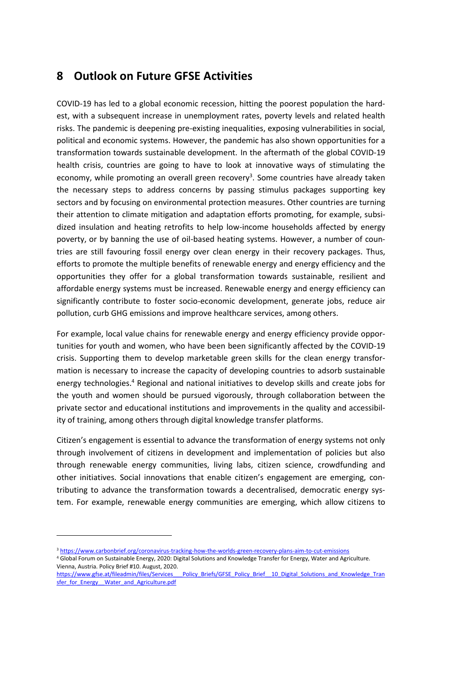### **8 Outlook on Future GFSE Activities**

COVID-19 has led to a global economic recession, hitting the poorest population the hardest, with a subsequent increase in unemployment rates, poverty levels and related health risks. The pandemic is deepening pre-existing inequalities, exposing vulnerabilities in social, political and economic systems. However, the pandemic has also shown opportunities for a transformation towards sustainable development. In the aftermath of the global COVID-19 health crisis, countries are going to have to look at innovative ways of stimulating the economy, while promoting an overall green recovery<sup>3</sup>. Some countries have already taken the necessary steps to address concerns by passing stimulus packages supporting key sectors and by focusing on environmental protection measures. Other countries are turning their attention to climate mitigation and adaptation efforts promoting, for example, subsidized insulation and heating retrofits to help low-income households affected by energy poverty, or by banning the use of oil-based heating systems. However, a number of countries are still favouring fossil energy over clean energy in their recovery packages. Thus, efforts to promote the multiple benefits of renewable energy and energy efficiency and the opportunities they offer for a global transformation towards sustainable, resilient and affordable energy systems must be increased. Renewable energy and energy efficiency can significantly contribute to foster socio-economic development, generate jobs, reduce air pollution, curb GHG emissions and improve healthcare services, among others.

For example, local value chains for renewable energy and energy efficiency provide opportunities for youth and women, who have been been significantly affected by the COVID-19 crisis. Supporting them to develop marketable green skills for the clean energy transformation is necessary to increase the capacity of developing countries to adsorb sustainable energy technologies.<sup>4</sup> Regional and national initiatives to develop skills and create jobs for the youth and women should be pursued vigorously, through collaboration between the private sector and educational institutions and improvements in the quality and accessibility of training, among others through digital knowledge transfer platforms.

Citizen's engagement is essential to advance the transformation of energy systems not only through involvement of citizens in development and implementation of policies but also through renewable energy communities, living labs, citizen science, crowdfunding and other initiatives. Social innovations that enable citizen's engagement are emerging, contributing to advance the transformation towards a decentralised, democratic energy system. For example, renewable energy communities are emerging, which allow citizens to

l

[https://www.gfse.at/fileadmin/files/Services\\_\\_\\_Policy\\_Briefs/GFSE\\_Policy\\_Brief\\_\\_10\\_Digital\\_Solutions\\_and\\_Knowledge\\_Tran](https://www.gfse.at/fileadmin/files/Services___Policy_Briefs/GFSE_Policy_Brief__10_Digital_Solutions_and_Knowledge_Transfer_for_Energy__Water_and_Agriculture.pdf) [sfer\\_for\\_Energy\\_\\_Water\\_and\\_Agriculture.pdf](https://www.gfse.at/fileadmin/files/Services___Policy_Briefs/GFSE_Policy_Brief__10_Digital_Solutions_and_Knowledge_Transfer_for_Energy__Water_and_Agriculture.pdf)

<sup>3</sup> <https://www.carbonbrief.org/coronavirus-tracking-how-the-worlds-green-recovery-plans-aim-to-cut-emissions>

<sup>4</sup> Global Forum on Sustainable Energy, 2020: Digital Solutions and Knowledge Transfer for Energy, Water and Agriculture. Vienna, Austria. Policy Brief #10. August, 2020.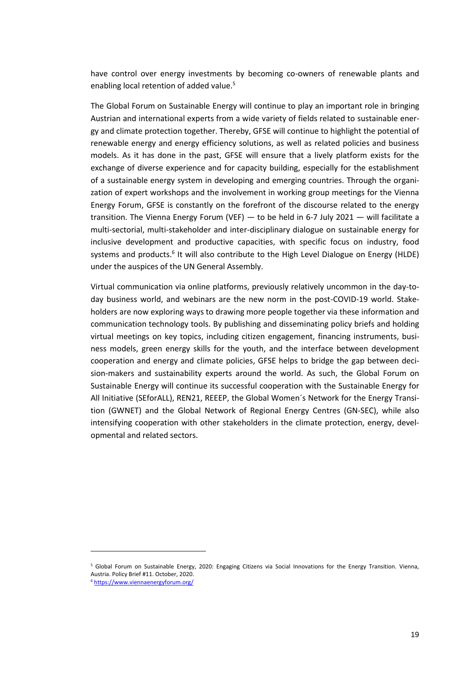have control over energy investments by becoming co-owners of renewable plants and enabling local retention of added value.<sup>5</sup>

The Global Forum on Sustainable Energy will continue to play an important role in bringing Austrian and international experts from a wide variety of fields related to sustainable energy and climate protection together. Thereby, GFSE will continue to highlight the potential of renewable energy and energy efficiency solutions, as well as related policies and business models. As it has done in the past, GFSE will ensure that a lively platform exists for the exchange of diverse experience and for capacity building, especially for the establishment of a sustainable energy system in developing and emerging countries. Through the organization of expert workshops and the involvement in working group meetings for the Vienna Energy Forum, GFSE is constantly on the forefront of the discourse related to the energy transition. The Vienna Energy Forum (VEF) — to be held in 6-7 July 2021 — will facilitate a multi-sectorial, multi-stakeholder and inter-disciplinary dialogue on sustainable energy for inclusive development and productive capacities, with specific focus on industry, food systems and products.<sup>6</sup> It will also contribute to the High Level Dialogue on Energy (HLDE) under the auspices of the UN General Assembly.

Virtual communication via online platforms, previously relatively uncommon in the day-today business world, and webinars are the new norm in the post-COVID-19 world. Stakeholders are now exploring ways to drawing more people together via these information and communication technology tools. By publishing and disseminating policy briefs and holding virtual meetings on key topics, including citizen engagement, financing instruments, business models, green energy skills for the youth, and the interface between development cooperation and energy and climate policies, GFSE helps to bridge the gap between decision-makers and sustainability experts around the world. As such, the Global Forum on Sustainable Energy will continue its successful cooperation with the Sustainable Energy for All Initiative (SEforALL), REN21, REEEP, the Global Women´s Network for the Energy Transition (GWNET) and the Global Network of Regional Energy Centres (GN-SEC), while also intensifying cooperation with other stakeholders in the climate protection, energy, developmental and related sectors.

l

<sup>5</sup> Global Forum on Sustainable Energy, 2020: Engaging Citizens via Social Innovations for the Energy Transition. Vienna, Austria. Policy Brief #11. October, 2020.

<sup>6</sup> <https://www.viennaenergyforum.org/>